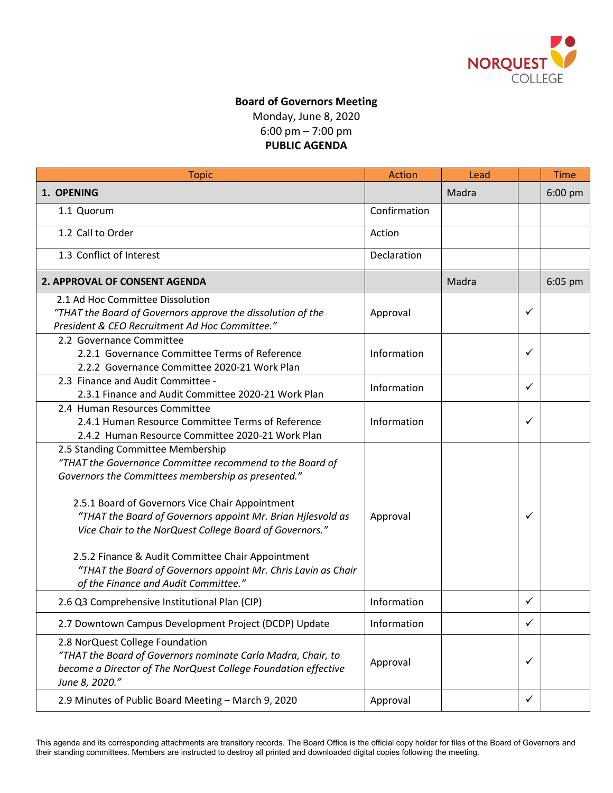

## **Board of Governors Meeting** Monday, June 8, 2020 6:00 pm – 7:00 pm **PUBLIC AGENDA**

| <b>Topic</b>                                                                                                                                                                                                                                                                                                                                                                                                                                                                                   | <b>Action</b> | Lead  |              | <b>Time</b> |
|------------------------------------------------------------------------------------------------------------------------------------------------------------------------------------------------------------------------------------------------------------------------------------------------------------------------------------------------------------------------------------------------------------------------------------------------------------------------------------------------|---------------|-------|--------------|-------------|
| 1. OPENING                                                                                                                                                                                                                                                                                                                                                                                                                                                                                     |               | Madra |              | 6:00 pm     |
| 1.1 Quorum                                                                                                                                                                                                                                                                                                                                                                                                                                                                                     | Confirmation  |       |              |             |
| 1.2 Call to Order                                                                                                                                                                                                                                                                                                                                                                                                                                                                              | Action        |       |              |             |
| 1.3 Conflict of Interest                                                                                                                                                                                                                                                                                                                                                                                                                                                                       | Declaration   |       |              |             |
| <b>2. APPROVAL OF CONSENT AGENDA</b>                                                                                                                                                                                                                                                                                                                                                                                                                                                           |               | Madra |              | 6:05 pm     |
| 2.1 Ad Hoc Committee Dissolution<br>"THAT the Board of Governors approve the dissolution of the<br>President & CEO Recruitment Ad Hoc Committee."                                                                                                                                                                                                                                                                                                                                              | Approval      |       | ✓            |             |
| 2.2 Governance Committee<br>2.2.1 Governance Committee Terms of Reference<br>2.2.2 Governance Committee 2020-21 Work Plan                                                                                                                                                                                                                                                                                                                                                                      | Information   |       | ✓            |             |
| 2.3 Finance and Audit Committee -<br>2.3.1 Finance and Audit Committee 2020-21 Work Plan                                                                                                                                                                                                                                                                                                                                                                                                       | Information   |       | $\checkmark$ |             |
| 2.4 Human Resources Committee<br>2.4.1 Human Resource Committee Terms of Reference<br>2.4.2 Human Resource Committee 2020-21 Work Plan                                                                                                                                                                                                                                                                                                                                                         | Information   |       | ✓            |             |
| 2.5 Standing Committee Membership<br>"THAT the Governance Committee recommend to the Board of<br>Governors the Committees membership as presented."<br>2.5.1 Board of Governors Vice Chair Appointment<br>"THAT the Board of Governors appoint Mr. Brian Hjlesvold as<br>Vice Chair to the NorQuest College Board of Governors."<br>2.5.2 Finance & Audit Committee Chair Appointment<br>"THAT the Board of Governors appoint Mr. Chris Lavin as Chair<br>of the Finance and Audit Committee." | Approval      |       | ✓            |             |
| 2.6 Q3 Comprehensive Institutional Plan (CIP)                                                                                                                                                                                                                                                                                                                                                                                                                                                  | Information   |       | ✓            |             |
| 2.7 Downtown Campus Development Project (DCDP) Update                                                                                                                                                                                                                                                                                                                                                                                                                                          | Information   |       | ✓            |             |
| 2.8 NorQuest College Foundation<br>"THAT the Board of Governors nominate Carla Madra, Chair, to<br>become a Director of The NorQuest College Foundation effective<br>June 8, 2020."                                                                                                                                                                                                                                                                                                            | Approval      |       | ✓            |             |
| 2.9 Minutes of Public Board Meeting - March 9, 2020                                                                                                                                                                                                                                                                                                                                                                                                                                            | Approval      |       | $\checkmark$ |             |